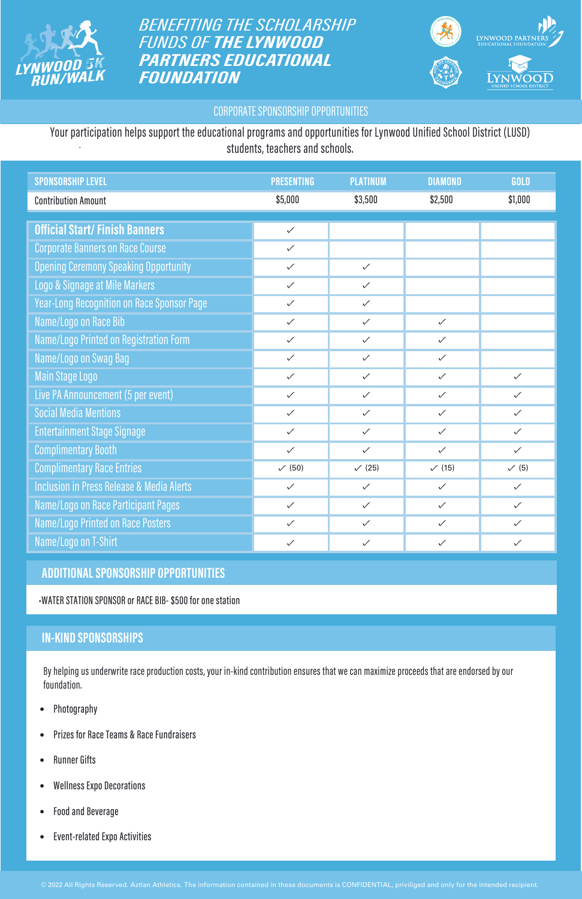

**BENEFITING THE SCHOLARSHIP FUNDS OF THE LYNWOOD PARTNERS EDUCATIONAL FOUNDATION** 



#### **CORPORATE SPONSORSHIP OPPORTUNITIES**

| <b>SPONSORSHIP LEVEL</b>                             | <b>PRESENTING</b> | <b>PLATINUM</b>   | <b>DIAMOND</b> | GOLD             |
|------------------------------------------------------|-------------------|-------------------|----------------|------------------|
| <b>Contribution Amount</b>                           | \$5,000           | \$3,500           | \$2,500        | \$1,000          |
| <b>Official Start/Finish Banners</b>                 | $\checkmark$      |                   |                |                  |
|                                                      |                   |                   |                |                  |
| <b>Corporate Banners on Race Course</b>              | $\checkmark$      |                   |                |                  |
| <b>Opening Ceremony Speaking Opportunity</b>         | $\checkmark$      | $\checkmark$      |                |                  |
| Logo & Signage at Mile Markers                       | $\checkmark$      | $\checkmark$      |                |                  |
| <b>Year-Long Recognition on Race Sponsor Page</b>    | $\checkmark$      | $\checkmark$      |                |                  |
| Name/Logo on Race Bib                                | $\checkmark$      | $\checkmark$      | $\checkmark$   |                  |
| Name/Logo Printed on Registration Form               | $\checkmark$      | $\checkmark$      | $\checkmark$   |                  |
| Name/Logo on Swag Bag                                | $\checkmark$      | $\checkmark$      | $\checkmark$   |                  |
| <b>Main Stage Logo</b>                               | $\checkmark$      | $\checkmark$      | $\checkmark$   | $\checkmark$     |
| Live PA Announcement (5 per event)                   | $\checkmark$      | $\checkmark$      | $\checkmark$   | $\checkmark$     |
| <b>Social Media Mentions</b>                         | $\checkmark$      | $\checkmark$      | $\checkmark$   | $\checkmark$     |
| <b>Entertainment Stage Signage</b>                   | $\checkmark$      | $\checkmark$      | $\checkmark$   | $\checkmark$     |
| <b>Complimentary Booth</b>                           | $\checkmark$      | $\checkmark$      | $\checkmark$   | $\checkmark$     |
| <b>Complimentary Race Entries</b>                    | $\sqrt{(50)}$     | $\checkmark$ (25) | (15)           | $\checkmark$ (5) |
| <b>Inclusion in Press Release &amp; Media Alerts</b> | $\checkmark$      | $\checkmark$      | $\checkmark$   | $\checkmark$     |
| Name/Logo on Race Participant Pages                  | $\checkmark$      | $\checkmark$      | $\checkmark$   | $\checkmark$     |
| Name/Logo Printed on Race Posters                    | $\checkmark$      | $\checkmark$      | $\checkmark$   | $\checkmark$     |
| Name/Logo on T-Shirt                                 | $\checkmark$      | $\checkmark$      | $\checkmark$   | $\checkmark$     |

#### **ADDITIONAL SPONSORSHIP OPPORTUNITIES**

-WATER STATION SPONSOR or RACE BIB- \$500 for one station

#### **IN-KIND SPONSORSHIPS**

By helping us underwrite race production costs, your in-kind contribution ensures that we can maximize proceeds that are endorsed by our foundation.

- Photography
- Prizes for Race Teams & Race Fundraisers
- Runner Gifts
- Wellness Expo Decorations
- Food and Beverage
- Event-related Expo Activities

. Your participation helps support the educational programs and opportunities for Lynwood Unified School District (LUSD) students, teachers and schools.

© 2022 All Rights Reserved. Aztlan Athletics. The information contained in these documents is CONFIDENTIAL, priviliged and only for the intended recipient.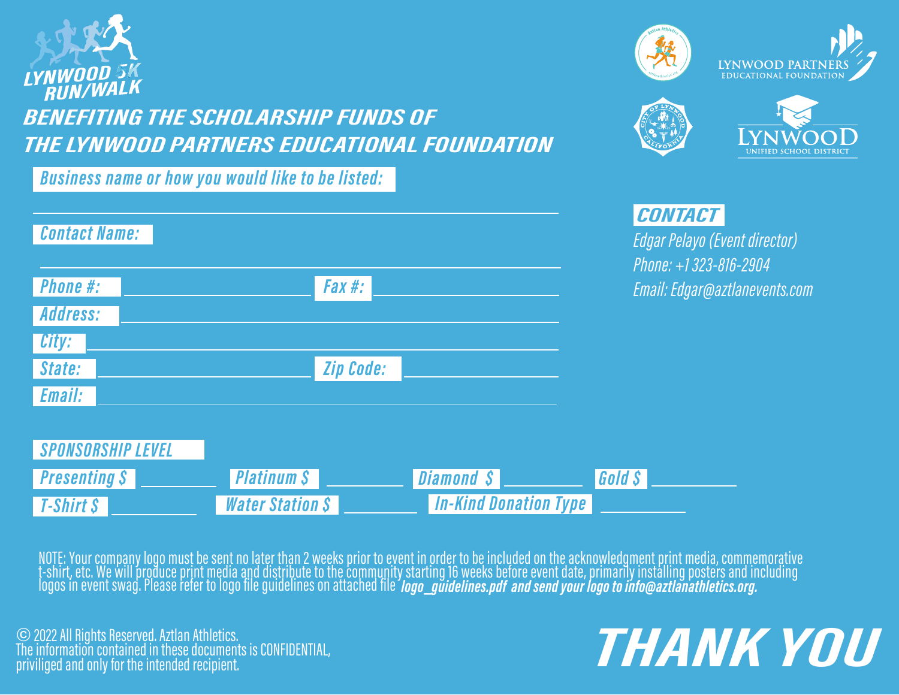

### **BENEFITING THE SCHOLARSHIP FUNDS OF** THE LYNWOOD PARTNERS EDUCATIONAL FOUNDATION

**Business name or how you would like to be listed:** 

| <b>Contact Name:</b> |                  |
|----------------------|------------------|
| <b>Phone #:</b>      | Fax #:           |
| Address:             |                  |
| City:                |                  |
| State:               | <b>Zip Code:</b> |
| Email:               |                  |









### **CONTACT**

Edgar Pelayo (Event director) Phone: +1323-816-2904 Email: Edgar@aztlanevents.com

| <i>SPONSORSHIP LEVEL</i> |                         |                              |               |
|--------------------------|-------------------------|------------------------------|---------------|
| <i>Presenting S</i>      | Platinum S              | <b>I</b> Diamond S!          | <b>Gold S</b> |
| $I$ -Shirt $S$           | <b>Water Station \$</b> | <b>In-Kind Donation Type</b> |               |

NOTE: Your company logo must be sent no later than 2 weeks prior to event in order to be included on the acknowledgment print media, commemorative<br>t-shirt, etc. We will produce print media and distribute to the community s

© 2022 All Rights Reserved. Aztlan Athletics. The information contained in these documents is CONFIDENTIAL,<br>priviliged and only for the intended recipient.

## THANK YOU